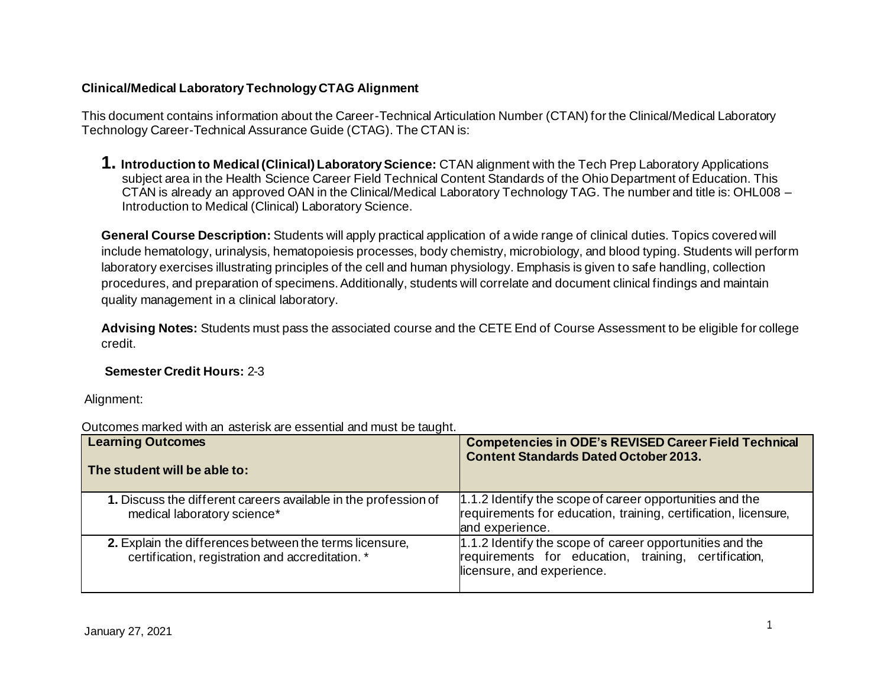## **Clinical/Medical Laboratory Technology CTAG Alignment**

This document contains information about the Career-Technical Articulation Number (CTAN) for the Clinical/Medical Laboratory Technology Career-Technical Assurance Guide (CTAG). The CTAN is:

**1. Introduction to Medical (Clinical) Laboratory Science:** CTAN alignment with the Tech Prep Laboratory Applications subject area in the Health Science Career Field Technical Content Standards of the Ohio Department of Education. This CTAN is already an approved OAN in the Clinical/Medical Laboratory Technology TAG. The number and title is: OHL008 – Introduction to Medical (Clinical) Laboratory Science.

**General Course Description:** Students will apply practical application of a wide range of clinical duties. Topics covered will include hematology, urinalysis, hematopoiesis processes, body chemistry, microbiology, and blood typing. Students will perform laboratory exercises illustrating principles of the cell and human physiology. Emphasis is given to safe handling, collection procedures, and preparation of specimens. Additionally, students will correlate and document clinical findings and maintain quality management in a clinical laboratory.

**Advising Notes:** Students must pass the associated course and the CETE End of Course Assessment to be eligible for college credit.

## **Semester Credit Hours:** 2-3

Alignment:

| <b>Learning Outcomes</b><br>The student will be able to:                                                    | <b>Competencies in ODE's REVISED Career Field Technical</b><br><b>Content Standards Dated October 2013.</b>                                    |
|-------------------------------------------------------------------------------------------------------------|------------------------------------------------------------------------------------------------------------------------------------------------|
| 1. Discuss the different careers available in the profession of<br>medical laboratory science*              | 1.1.2 Identify the scope of career opportunities and the<br>requirements for education, training, certification, licensure,<br>and experience. |
| 2. Explain the differences between the terms licensure,<br>certification, registration and accreditation. * | 1.1.2 Identify the scope of career opportunities and the<br>requirements for education, training, certification,<br>licensure, and experience. |

Outcomes marked with an asterisk are essential and must be taught.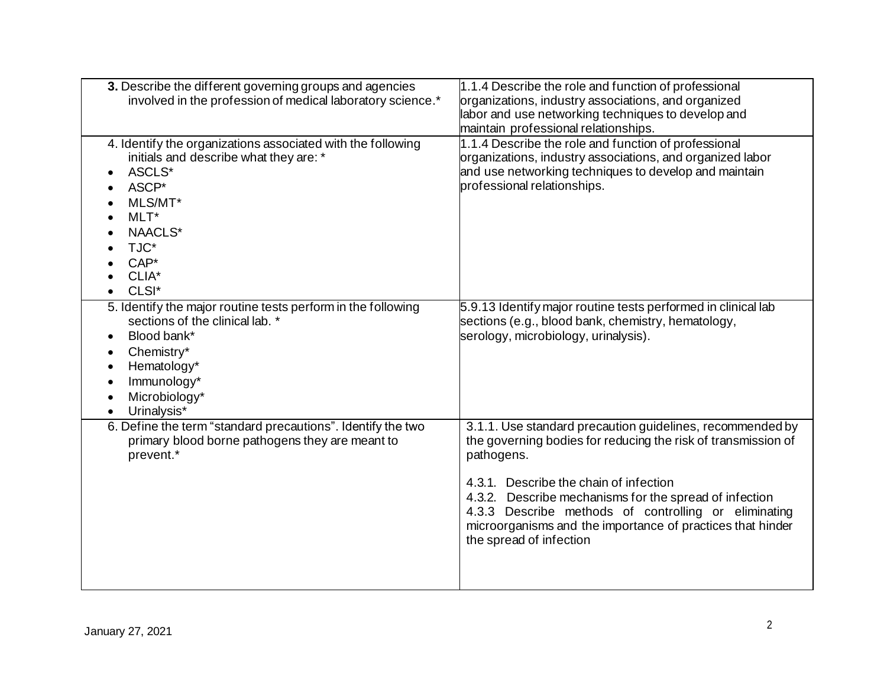| 3. Describe the different governing groups and agencies<br>involved in the profession of medical laboratory science.*                                                                                                     | 1.1.4 Describe the role and function of professional<br>organizations, industry associations, and organized<br>labor and use networking techniques to develop and<br>maintain professional relationships.                                                                                                                                                                                     |
|---------------------------------------------------------------------------------------------------------------------------------------------------------------------------------------------------------------------------|-----------------------------------------------------------------------------------------------------------------------------------------------------------------------------------------------------------------------------------------------------------------------------------------------------------------------------------------------------------------------------------------------|
| 4. Identify the organizations associated with the following<br>initials and describe what they are: *<br>ASCLS*<br>ASCP*<br>MLS/MT*<br>MLT*<br>NAACLS*<br>TJC*<br>$CAP*$<br>CLIA*<br>CLSI*                                | 1.1.4 Describe the role and function of professional<br>organizations, industry associations, and organized labor<br>and use networking techniques to develop and maintain<br>professional relationships.                                                                                                                                                                                     |
| 5. Identify the major routine tests perform in the following<br>sections of the clinical lab. *<br>Blood bank*<br>$\bullet$<br>Chemistry*<br>٠<br>Hematology*<br>$\bullet$<br>Immunology*<br>Microbiology*<br>Urinalysis* | 5.9.13 Identify major routine tests performed in clinical lab<br>sections (e.g., blood bank, chemistry, hematology,<br>serology, microbiology, urinalysis).                                                                                                                                                                                                                                   |
| 6. Define the term "standard precautions". Identify the two<br>primary blood borne pathogens they are meant to<br>prevent.*                                                                                               | 3.1.1. Use standard precaution guidelines, recommended by<br>the governing bodies for reducing the risk of transmission of<br>pathogens.<br>4.3.1. Describe the chain of infection<br>4.3.2. Describe mechanisms for the spread of infection<br>4.3.3 Describe methods of controlling or eliminating<br>microorganisms and the importance of practices that hinder<br>the spread of infection |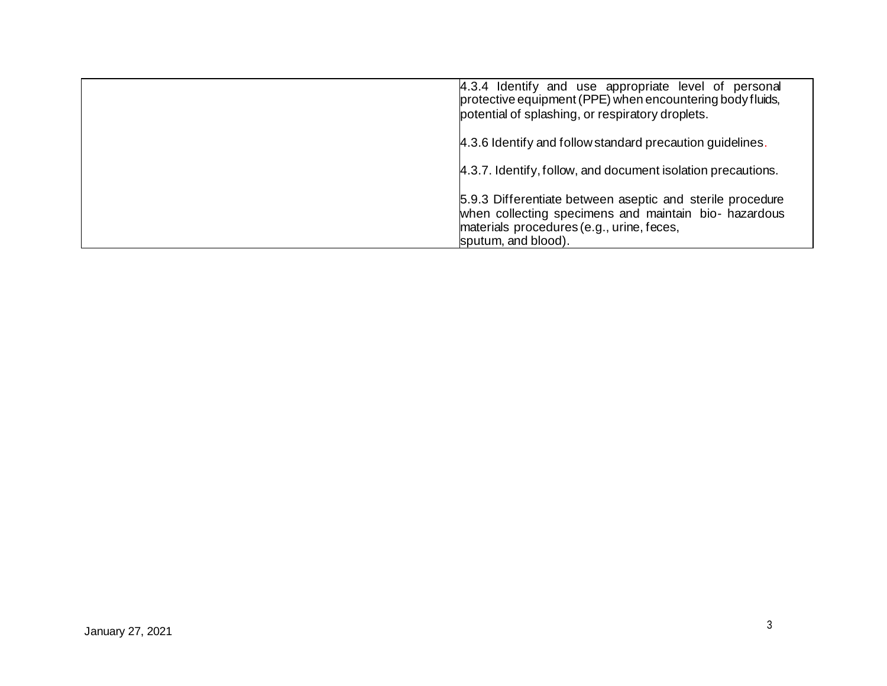| 4.3.4 Identify and use appropriate level of personal<br>protective equipment (PPE) when encountering body fluids,<br>potential of splashing, or respiratory droplets.                  |
|----------------------------------------------------------------------------------------------------------------------------------------------------------------------------------------|
| 4.3.6 Identify and follow standard precaution guidelines.                                                                                                                              |
| 4.3.7. Identify, follow, and document isolation precautions.                                                                                                                           |
| 5.9.3 Differentiate between aseptic and sterile procedure<br>when collecting specimens and maintain bio- hazardous<br>materials procedures (e.g., urine, feces,<br>sputum, and blood). |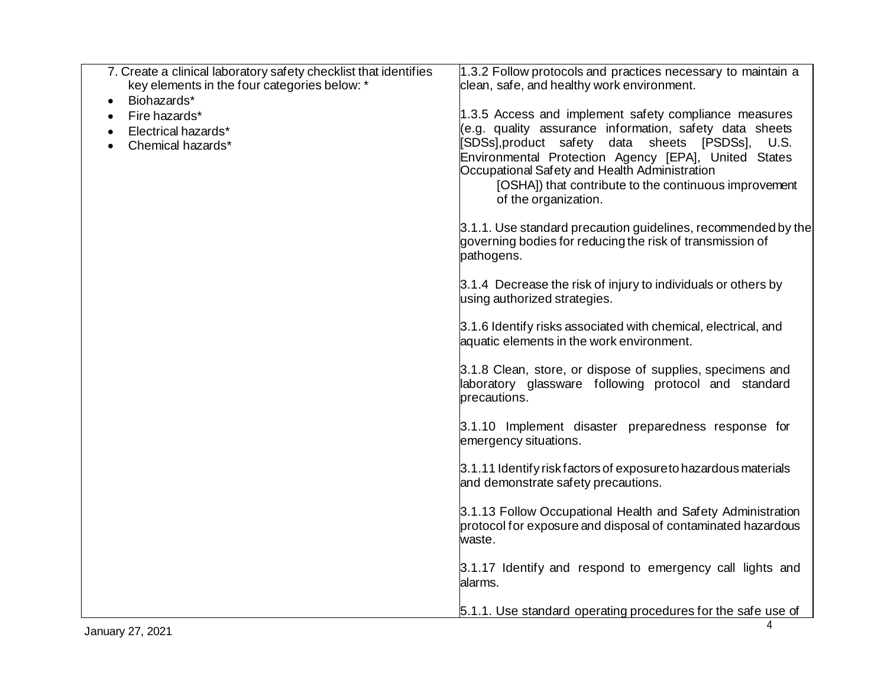| 7. Create a clinical laboratory safety checklist that identifies<br>key elements in the four categories below: *<br>Biohazards*<br>Fire hazards*<br>Electrical hazards*<br>Chemical hazards* | 1.3.2 Follow protocols and practices necessary to maintain a<br>clean, safe, and healthy work environment.<br>1.3.5 Access and implement safety compliance measures<br>(e.g. quality assurance information, safety data sheets<br>[SDSs],product safety data sheets [PSDSs],<br>U.S.<br>Environmental Protection Agency [EPA], United States<br>Occupational Safety and Health Administration<br>[OSHA]) that contribute to the continuous improvement<br>of the organization.<br>3.1.1. Use standard precaution guidelines, recommended by the<br>governing bodies for reducing the risk of transmission of<br>pathogens.<br>3.1.4 Decrease the risk of injury to individuals or others by<br>using authorized strategies.<br>3.1.6 Identify risks associated with chemical, electrical, and<br>aquatic elements in the work environment.<br>3.1.8 Clean, store, or dispose of supplies, specimens and<br>laboratory glassware following protocol and standard<br>precautions.<br>3.1.10 Implement disaster preparedness response for<br>emergency situations.<br>3.1.11 Identify risk factors of exposure to hazardous materials<br>and demonstrate safety precautions.<br>3.1.13 Follow Occupational Health and Safety Administration<br>protocol for exposure and disposal of contaminated hazardous<br>waste.<br>3.1.17 Identify and respond to emergency call lights and<br>alarms. |
|----------------------------------------------------------------------------------------------------------------------------------------------------------------------------------------------|-------------------------------------------------------------------------------------------------------------------------------------------------------------------------------------------------------------------------------------------------------------------------------------------------------------------------------------------------------------------------------------------------------------------------------------------------------------------------------------------------------------------------------------------------------------------------------------------------------------------------------------------------------------------------------------------------------------------------------------------------------------------------------------------------------------------------------------------------------------------------------------------------------------------------------------------------------------------------------------------------------------------------------------------------------------------------------------------------------------------------------------------------------------------------------------------------------------------------------------------------------------------------------------------------------------------------------------------------------------------------------------------|
|                                                                                                                                                                                              | 5.1.1. Use standard operating procedures for the safe use of                                                                                                                                                                                                                                                                                                                                                                                                                                                                                                                                                                                                                                                                                                                                                                                                                                                                                                                                                                                                                                                                                                                                                                                                                                                                                                                              |
| January 27, 2021                                                                                                                                                                             | 4                                                                                                                                                                                                                                                                                                                                                                                                                                                                                                                                                                                                                                                                                                                                                                                                                                                                                                                                                                                                                                                                                                                                                                                                                                                                                                                                                                                         |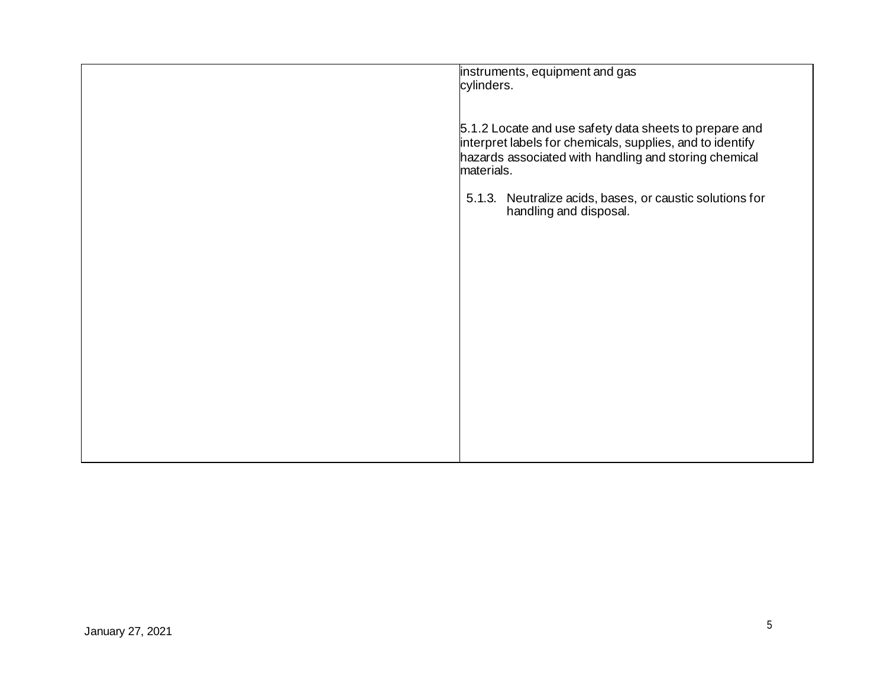| instruments, equipment and gas<br>cylinders.                                                                                                                                               |
|--------------------------------------------------------------------------------------------------------------------------------------------------------------------------------------------|
| 5.1.2 Locate and use safety data sheets to prepare and<br>interpret labels for chemicals, supplies, and to identify<br>hazards associated with handling and storing chemical<br>materials. |
| 5.1.3. Neutralize acids, bases, or caustic solutions for<br>handling and disposal.                                                                                                         |
|                                                                                                                                                                                            |
|                                                                                                                                                                                            |
|                                                                                                                                                                                            |
|                                                                                                                                                                                            |
|                                                                                                                                                                                            |
|                                                                                                                                                                                            |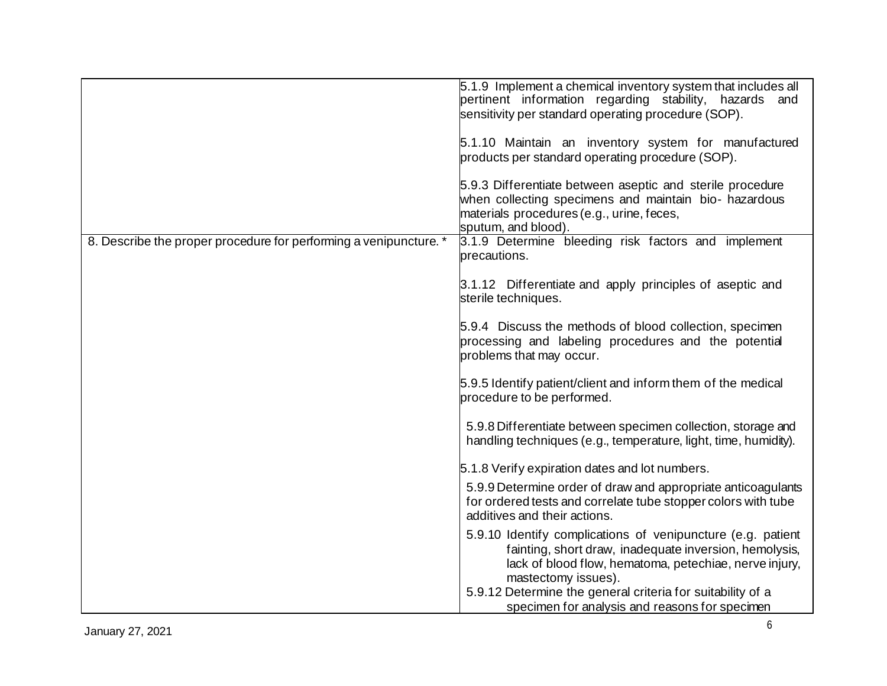|                                                                   | 5.1.9 Implement a chemical inventory system that includes all<br>pertinent information regarding stability, hazards and<br>sensitivity per standard operating procedure (SOP).<br>5.1.10 Maintain an inventory system for manufactured<br>products per standard operating procedure (SOP).<br>5.9.3 Differentiate between aseptic and sterile procedure<br>when collecting specimens and maintain bio- hazardous |
|-------------------------------------------------------------------|------------------------------------------------------------------------------------------------------------------------------------------------------------------------------------------------------------------------------------------------------------------------------------------------------------------------------------------------------------------------------------------------------------------|
|                                                                   | materials procedures (e.g., urine, feces,<br>sputum, and blood).                                                                                                                                                                                                                                                                                                                                                 |
| 8. Describe the proper procedure for performing a venipuncture. * | 3.1.9 Determine bleeding risk factors and implement<br>precautions.                                                                                                                                                                                                                                                                                                                                              |
|                                                                   | 3.1.12 Differentiate and apply principles of aseptic and<br>sterile techniques.                                                                                                                                                                                                                                                                                                                                  |
|                                                                   | 5.9.4 Discuss the methods of blood collection, specimen<br>processing and labeling procedures and the potential<br>problems that may occur.                                                                                                                                                                                                                                                                      |
|                                                                   | 5.9.5 Identify patient/client and inform them of the medical<br>procedure to be performed.                                                                                                                                                                                                                                                                                                                       |
|                                                                   | 5.9.8 Differentiate between specimen collection, storage and<br>handling techniques (e.g., temperature, light, time, humidity).                                                                                                                                                                                                                                                                                  |
|                                                                   | 5.1.8 Verify expiration dates and lot numbers.                                                                                                                                                                                                                                                                                                                                                                   |
|                                                                   | 5.9.9 Determine order of draw and appropriate anticoagulants<br>for ordered tests and correlate tube stopper colors with tube<br>additives and their actions.                                                                                                                                                                                                                                                    |
|                                                                   | 5.9.10 Identify complications of venipuncture (e.g. patient<br>fainting, short draw, inadequate inversion, hemolysis,<br>lack of blood flow, hematoma, petechiae, nerve injury,<br>mastectomy issues).                                                                                                                                                                                                           |
|                                                                   | 5.9.12 Determine the general criteria for suitability of a<br>specimen for analysis and reasons for specimen                                                                                                                                                                                                                                                                                                     |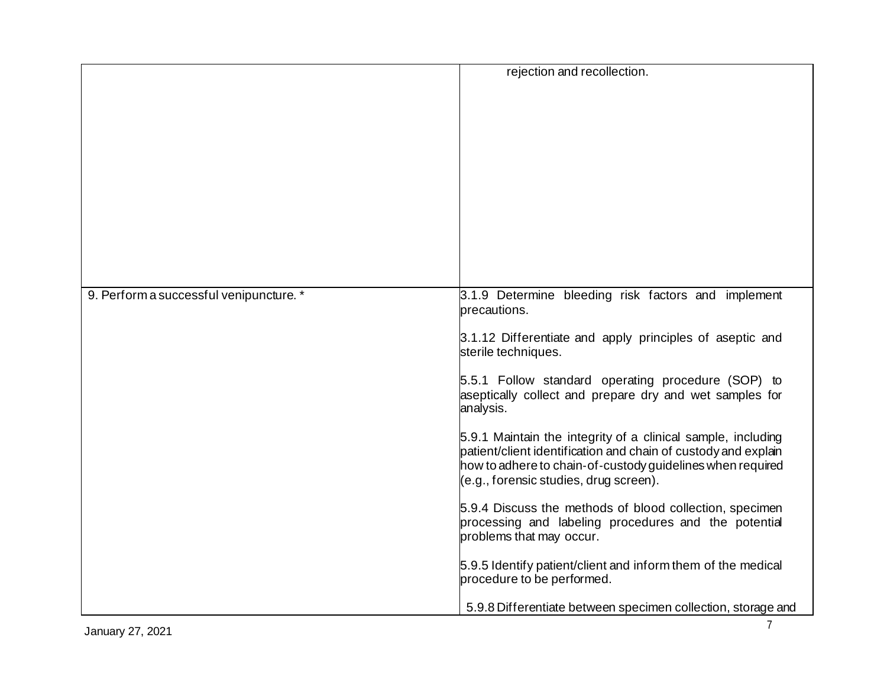|                                         | rejection and recollection.                                                                                                                                                                                                            |
|-----------------------------------------|----------------------------------------------------------------------------------------------------------------------------------------------------------------------------------------------------------------------------------------|
|                                         |                                                                                                                                                                                                                                        |
|                                         |                                                                                                                                                                                                                                        |
|                                         |                                                                                                                                                                                                                                        |
|                                         |                                                                                                                                                                                                                                        |
| 9. Perform a successful venipuncture. * | 3.1.9 Determine bleeding risk factors and implement<br>precautions.                                                                                                                                                                    |
|                                         | 3.1.12 Differentiate and apply principles of aseptic and<br>sterile techniques.                                                                                                                                                        |
|                                         | 5.5.1 Follow standard operating procedure (SOP) to<br>aseptically collect and prepare dry and wet samples for<br>analysis.                                                                                                             |
|                                         | 5.9.1 Maintain the integrity of a clinical sample, including<br>patient/client identification and chain of custody and explain<br>how to adhere to chain-of-custody guidelines when required<br>(e.g., forensic studies, drug screen). |
|                                         | 5.9.4 Discuss the methods of blood collection, specimen<br>processing and labeling procedures and the potential<br>problems that may occur.                                                                                            |
|                                         | 5.9.5 Identify patient/client and inform them of the medical<br>procedure to be performed.                                                                                                                                             |
|                                         | 5.9.8 Differentiate between specimen collection, storage and                                                                                                                                                                           |
| January 27, 2021                        | $\overline{7}$                                                                                                                                                                                                                         |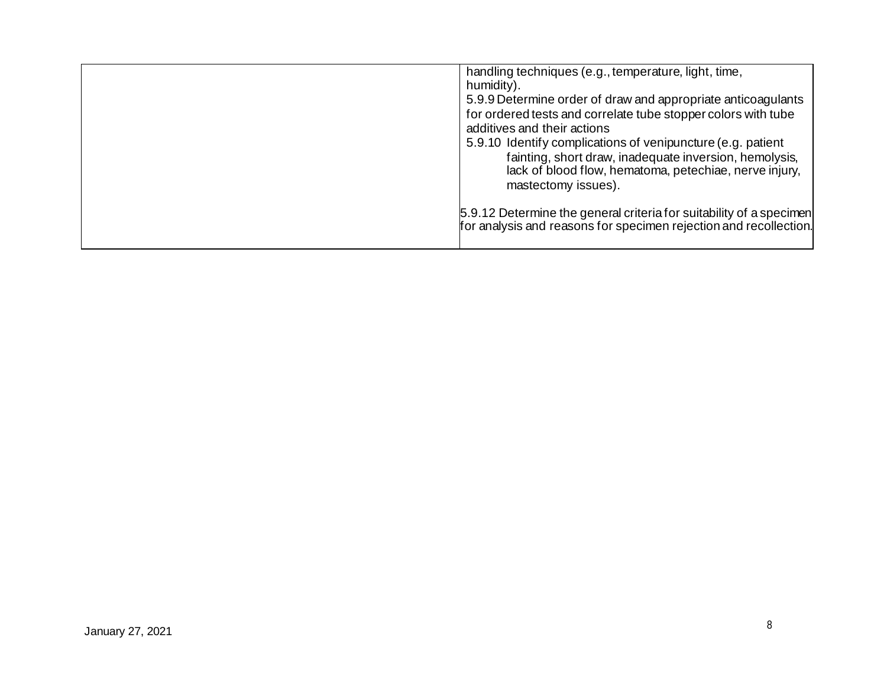| handling techniques (e.g., temperature, light, time,<br>humidity).<br>5.9.9 Determine order of draw and appropriate anticoagulants<br>for ordered tests and correlate tube stopper colors with tube<br>additives and their actions<br>5.9.10 Identify complications of venipuncture (e.g. patient<br>fainting, short draw, inadequate inversion, hemolysis,<br>lack of blood flow, hematoma, petechiae, nerve injury,<br>mastectomy issues). |
|----------------------------------------------------------------------------------------------------------------------------------------------------------------------------------------------------------------------------------------------------------------------------------------------------------------------------------------------------------------------------------------------------------------------------------------------|
| 5.9.12 Determine the general criteria for suitability of a specimen<br>for analysis and reasons for specimen rejection and recollection.                                                                                                                                                                                                                                                                                                     |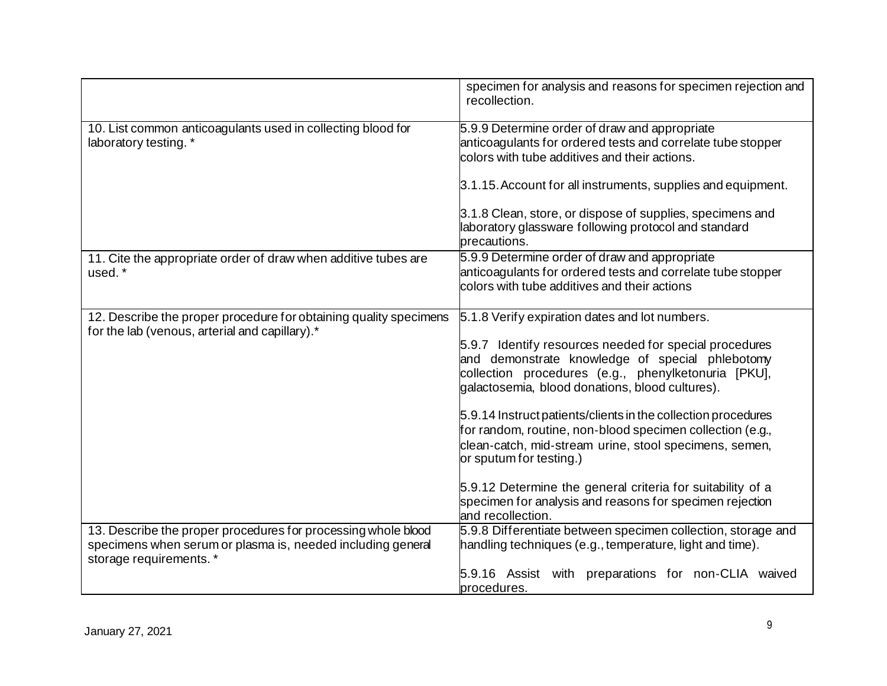|                                                                                                                              | specimen for analysis and reasons for specimen rejection and<br>recollection.                                                                                                                                                                                                                                                                                                                                                                                                                                                                                                                                                           |
|------------------------------------------------------------------------------------------------------------------------------|-----------------------------------------------------------------------------------------------------------------------------------------------------------------------------------------------------------------------------------------------------------------------------------------------------------------------------------------------------------------------------------------------------------------------------------------------------------------------------------------------------------------------------------------------------------------------------------------------------------------------------------------|
| 10. List common anticoagulants used in collecting blood for<br>laboratory testing. *                                         | 5.9.9 Determine order of draw and appropriate<br>anticoagulants for ordered tests and correlate tube stopper<br>colors with tube additives and their actions.                                                                                                                                                                                                                                                                                                                                                                                                                                                                           |
|                                                                                                                              | 3.1.15. Account for all instruments, supplies and equipment.                                                                                                                                                                                                                                                                                                                                                                                                                                                                                                                                                                            |
|                                                                                                                              | 3.1.8 Clean, store, or dispose of supplies, specimens and<br>laboratory glassware following protocol and standard<br>precautions.                                                                                                                                                                                                                                                                                                                                                                                                                                                                                                       |
| 11. Cite the appropriate order of draw when additive tubes are<br>used. *                                                    | 5.9.9 Determine order of draw and appropriate<br>anticoagulants for ordered tests and correlate tube stopper<br>colors with tube additives and their actions                                                                                                                                                                                                                                                                                                                                                                                                                                                                            |
| 12. Describe the proper procedure for obtaining quality specimens<br>for the lab (venous, arterial and capillary).*          | 5.1.8 Verify expiration dates and lot numbers.<br>5.9.7 Identify resources needed for special procedures<br>and demonstrate knowledge of special phlebotomy<br>collection procedures (e.g., phenylketonuria [PKU],<br>galactosemia, blood donations, blood cultures).<br>5.9.14 Instruct patients/clients in the collection procedures<br>for random, routine, non-blood specimen collection (e.g.,<br>clean-catch, mid-stream urine, stool specimens, semen,<br>or sputum for testing.)<br>5.9.12 Determine the general criteria for suitability of a<br>specimen for analysis and reasons for specimen rejection<br>and recollection. |
| 13. Describe the proper procedures for processing whole blood<br>specimens when serum or plasma is, needed including general | 5.9.8 Differentiate between specimen collection, storage and<br>handling techniques (e.g., temperature, light and time).                                                                                                                                                                                                                                                                                                                                                                                                                                                                                                                |
| storage requirements. *                                                                                                      | 5.9.16 Assist with preparations for non-CLIA waived<br>procedures.                                                                                                                                                                                                                                                                                                                                                                                                                                                                                                                                                                      |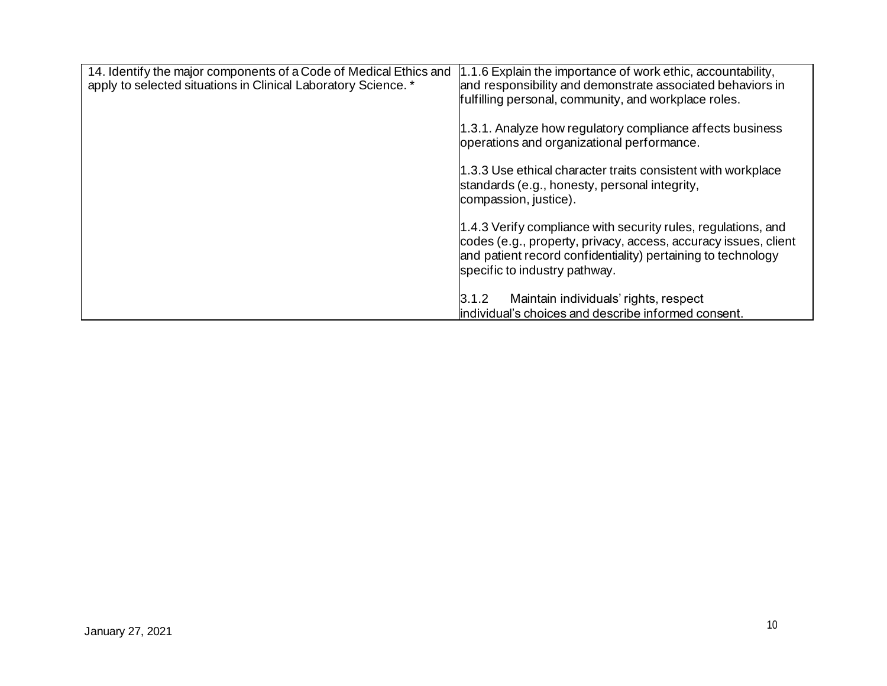| 14. Identify the major components of a Code of Medical Ethics and<br>apply to selected situations in Clinical Laboratory Science. * | 1.1.6 Explain the importance of work ethic, accountability,<br>and responsibility and demonstrate associated behaviors in<br>fulfilling personal, community, and workplace roles.                                                 |
|-------------------------------------------------------------------------------------------------------------------------------------|-----------------------------------------------------------------------------------------------------------------------------------------------------------------------------------------------------------------------------------|
|                                                                                                                                     | 1.3.1. Analyze how regulatory compliance affects business<br>operations and organizational performance.                                                                                                                           |
|                                                                                                                                     | 1.3.3 Use ethical character traits consistent with workplace<br>standards (e.g., honesty, personal integrity,<br>compassion, justice).                                                                                            |
|                                                                                                                                     | 1.4.3 Verify compliance with security rules, regulations, and<br>codes (e.g., property, privacy, access, accuracy issues, client<br>and patient record confidentiality) pertaining to technology<br>specific to industry pathway. |
|                                                                                                                                     | Maintain individuals' rights, respect<br>3.1.2<br>individual's choices and describe informed consent.                                                                                                                             |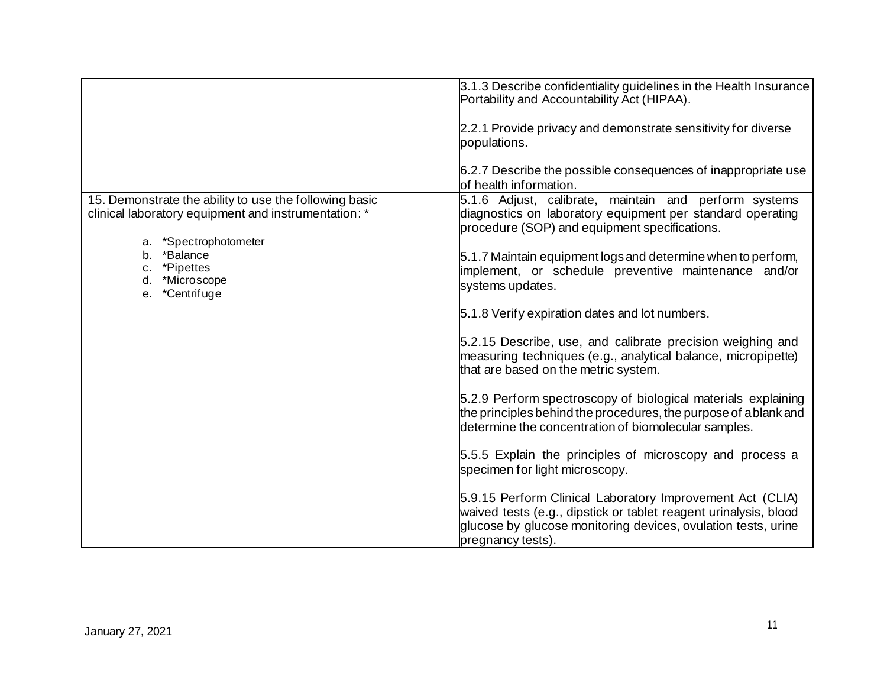|                                                                                                                                      | 3.1.3 Describe confidentiality guidelines in the Health Insurance<br>Portability and Accountability Act (HIPAA).<br>2.2.1 Provide privacy and demonstrate sensitivity for diverse                                   |
|--------------------------------------------------------------------------------------------------------------------------------------|---------------------------------------------------------------------------------------------------------------------------------------------------------------------------------------------------------------------|
|                                                                                                                                      | populations.                                                                                                                                                                                                        |
|                                                                                                                                      | 6.2.7 Describe the possible consequences of inappropriate use<br>of health information.                                                                                                                             |
| 15. Demonstrate the ability to use the following basic<br>clinical laboratory equipment and instrumentation: *<br>*Spectrophotometer | 5.1.6 Adjust, calibrate, maintain and perform systems<br>diagnostics on laboratory equipment per standard operating<br>procedure (SOP) and equipment specifications.                                                |
| b. *Balance<br>*Pipettes<br>c.<br>*Microscope<br>d.<br>*Centrifuge<br>е.                                                             | 5.1.7 Maintain equipment logs and determine when to perform,<br>implement, or schedule preventive maintenance and/or<br>systems updates.                                                                            |
|                                                                                                                                      | 5.1.8 Verify expiration dates and lot numbers.                                                                                                                                                                      |
|                                                                                                                                      | 5.2.15 Describe, use, and calibrate precision weighing and<br>measuring techniques (e.g., analytical balance, micropipette)<br>that are based on the metric system.                                                 |
|                                                                                                                                      | 5.2.9 Perform spectroscopy of biological materials explaining<br>the principles behind the procedures, the purpose of ablank and<br>determine the concentration of biomolecular samples.                            |
|                                                                                                                                      | 5.5.5 Explain the principles of microscopy and process a<br>specimen for light microscopy.                                                                                                                          |
|                                                                                                                                      | 5.9.15 Perform Clinical Laboratory Improvement Act (CLIA)<br>waived tests (e.g., dipstick or tablet reagent urinalysis, blood<br>glucose by glucose monitoring devices, ovulation tests, urine<br>pregnancy tests). |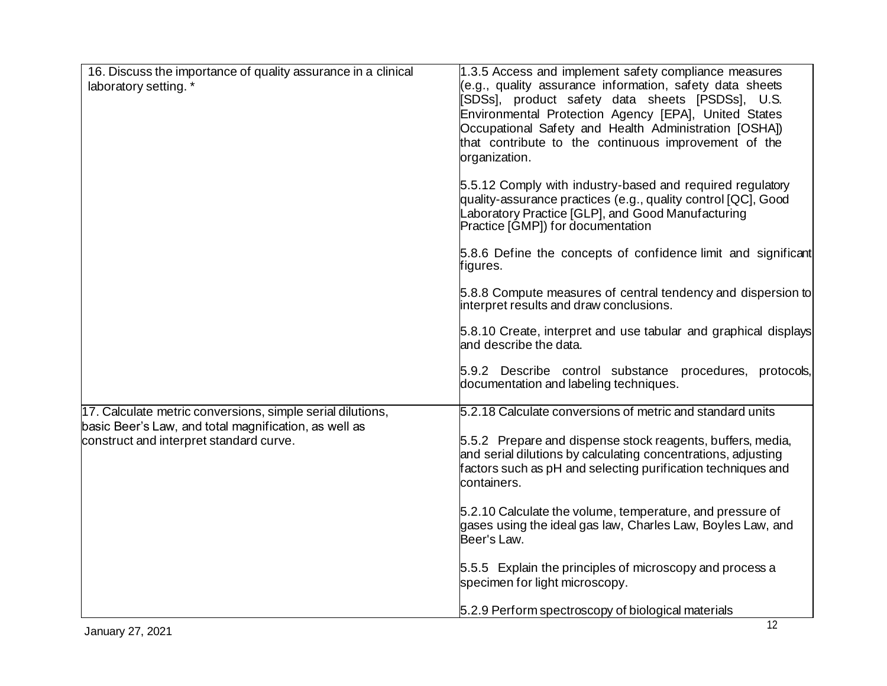| 16. Discuss the importance of quality assurance in a clinical<br>laboratory setting. *                              | 1.3.5 Access and implement safety compliance measures<br>e.g., quality assurance information, safety data sheets<br>[SDSs], product safety data sheets [PSDSs], U.S.<br>Environmental Protection Agency [EPA], United States<br>Occupational Safety and Health Administration [OSHA])<br>that contribute to the continuous improvement of the<br>organization. |
|---------------------------------------------------------------------------------------------------------------------|----------------------------------------------------------------------------------------------------------------------------------------------------------------------------------------------------------------------------------------------------------------------------------------------------------------------------------------------------------------|
|                                                                                                                     | 5.5.12 Comply with industry-based and required regulatory<br>quality-assurance practices (e.g., quality control [QC], Good<br>_aboratory Practice [GLP], and Good Manufacturing<br>Practice [GMP]) for documentation                                                                                                                                           |
|                                                                                                                     | 5.8.6 Define the concepts of confidence limit and significant<br>figures.                                                                                                                                                                                                                                                                                      |
|                                                                                                                     | 5.8.8 Compute measures of central tendency and dispersion to<br>interpret results and draw conclusions.                                                                                                                                                                                                                                                        |
|                                                                                                                     | 5.8.10 Create, interpret and use tabular and graphical displays<br>and describe the data.                                                                                                                                                                                                                                                                      |
|                                                                                                                     | 5.9.2 Describe control substance<br>procedures, protocols,<br>documentation and labeling techniques.                                                                                                                                                                                                                                                           |
| 17. Calculate metric conversions, simple serial dilutions,<br>basic Beer's Law, and total magnification, as well as | 5.2.18 Calculate conversions of metric and standard units                                                                                                                                                                                                                                                                                                      |
| construct and interpret standard curve.                                                                             | 5.5.2 Prepare and dispense stock reagents, buffers, media,<br>and serial dilutions by calculating concentrations, adjusting<br>factors such as pH and selecting purification techniques and<br>containers.                                                                                                                                                     |
|                                                                                                                     | 5.2.10 Calculate the volume, temperature, and pressure of<br>gases using the ideal gas law, Charles Law, Boyles Law, and<br>Beer's Law.                                                                                                                                                                                                                        |
|                                                                                                                     | 5.5.5 Explain the principles of microscopy and process a<br>specimen for light microscopy.                                                                                                                                                                                                                                                                     |
|                                                                                                                     | 5.2.9 Perform spectroscopy of biological materials                                                                                                                                                                                                                                                                                                             |
| January 27, 2021                                                                                                    | 12                                                                                                                                                                                                                                                                                                                                                             |